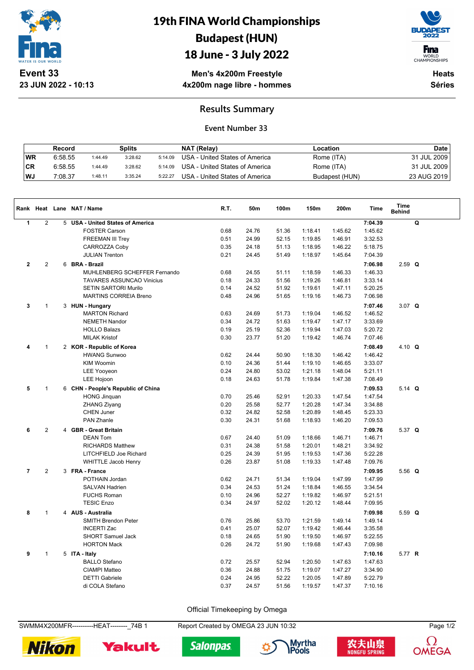

**23 JUN 2022 - 10:13**

# 19th FINA World Championships Budapest (HUN)

### 18 June - 3 July 2022



WORLD<br>CHAMPIONSHIPS

**Men's 4x200m Freestyle 4x200m nage libre - hommes**

**Heats Séries**

#### **Results Summary**

#### **Event Number 33**

|           | Record  |         | Splits  |         | NAT (Relay)                    | Location       | Date        |
|-----------|---------|---------|---------|---------|--------------------------------|----------------|-------------|
| <b>WR</b> | 6:58.55 | 1:44.49 | 3:28.62 | 5:14.09 | USA - United States of America | Rome (ITA)     | 31 JUL 2009 |
| ∣CR       | 6:58.55 | 1:44.49 | 3:28.62 | 5:14.09 | USA - United States of America | Rome (ITA)     | 31 JUL 2009 |
| WJ        | 7:08.37 | 1:48.11 | 3:35.24 | 5:22.27 | USA - United States of America | Budapest (HUN) | 23 AUG 2019 |

|                |                |   | Rank Heat Lane NAT / Name          | R.T. | 50m   | 100m  | 150m    | 200m    | <b>Time</b> | Time<br><b>Behind</b> |   |
|----------------|----------------|---|------------------------------------|------|-------|-------|---------|---------|-------------|-----------------------|---|
| $\mathbf{1}$   | $\overline{2}$ |   | 5 USA - United States of America   |      |       |       |         |         | 7:04.39     |                       | Q |
|                |                |   | <b>FOSTER Carson</b>               | 0.68 | 24.76 | 51.36 | 1:18.41 | 1:45.62 | 1:45.62     |                       |   |
|                |                |   | <b>FREEMAN III Trey</b>            | 0.51 | 24.99 | 52.15 | 1:19.85 | 1:46.91 | 3:32.53     |                       |   |
|                |                |   | CARROZZA Coby                      | 0.35 | 24.18 | 51.13 | 1:18.95 | 1:46.22 | 5:18.75     |                       |   |
|                |                |   | <b>JULIAN Trenton</b>              | 0.21 | 24.45 | 51.49 | 1:18.97 | 1:45.64 | 7:04.39     |                       |   |
| $\mathbf 2$    | $\overline{2}$ |   | 6 BRA - Brazil                     |      |       |       |         |         | 7:06.98     | $2.59$ Q              |   |
|                |                |   | MUHLENBERG SCHEFFER Fernando       | 0.68 | 24.55 | 51.11 | 1:18.59 | 1:46.33 | 1:46.33     |                       |   |
|                |                |   | <b>TAVARES ASSUNCAO Vinicius</b>   | 0.18 | 24.33 | 51.56 | 1:19.26 | 1:46.81 | 3:33.14     |                       |   |
|                |                |   | <b>SETIN SARTORI Murilo</b>        | 0.14 | 24.52 | 51.92 | 1:19.61 | 1:47.11 | 5:20.25     |                       |   |
|                |                |   | <b>MARTINS CORREIA Breno</b>       | 0.48 | 24.96 | 51.65 | 1:19.16 | 1:46.73 | 7:06.98     |                       |   |
| 3              | $\mathbf{1}$   |   | 3 HUN - Hungary                    |      |       |       |         |         | 7:07.46     | 3.07 $Q$              |   |
|                |                |   | <b>MARTON Richard</b>              | 0.63 | 24.69 | 51.73 | 1:19.04 | 1:46.52 | 1:46.52     |                       |   |
|                |                |   | <b>NEMETH Nandor</b>               | 0.34 | 24.72 | 51.63 | 1:19.47 | 1:47.17 | 3:33.69     |                       |   |
|                |                |   | <b>HOLLO Balazs</b>                | 0.19 | 25.19 | 52.36 | 1:19.94 | 1:47.03 | 5:20.72     |                       |   |
|                |                |   | <b>MILAK Kristof</b>               | 0.30 | 23.77 | 51.20 | 1:19.42 | 1:46.74 | 7:07.46     |                       |   |
| 4              | 1              |   | 2 KOR - Republic of Korea          |      |       |       |         |         | 7:08.49     | 4.10 $Q$              |   |
|                |                |   | <b>HWANG Sunwoo</b>                | 0.62 | 24.44 | 50.90 | 1:18.30 | 1:46.42 | 1:46.42     |                       |   |
|                |                |   | <b>KIM Woomin</b>                  | 0.10 | 24.36 | 51.44 | 1:19.10 | 1:46.65 | 3:33.07     |                       |   |
|                |                |   | <b>LEE Yooyeon</b>                 | 0.24 | 24.80 | 53.02 | 1:21.18 | 1:48.04 | 5:21.11     |                       |   |
|                |                |   | LEE Hojoon                         | 0.18 | 24.63 | 51.78 | 1:19.84 | 1:47.38 | 7:08.49     |                       |   |
| 5              | $\mathbf{1}$   |   | 6 CHN - People's Republic of China |      |       |       |         |         | 7:09.53     | 5.14 $Q$              |   |
|                |                |   | <b>HONG Jinquan</b>                | 0.70 | 25.46 | 52.91 | 1:20.33 | 1:47.54 | 1:47.54     |                       |   |
|                |                |   | ZHANG Ziyang                       | 0.20 | 25.58 | 52.77 | 1:20.28 | 1:47.34 | 3:34.88     |                       |   |
|                |                |   | <b>CHEN Juner</b>                  | 0.32 | 24.82 | 52.58 | 1:20.89 | 1:48.45 | 5:23.33     |                       |   |
|                |                |   | PAN Zhanle                         | 0.30 | 24.31 | 51.68 | 1:18.93 | 1:46.20 | 7:09.53     |                       |   |
| 6              | $\overline{2}$ | 4 | <b>GBR - Great Britain</b>         |      |       |       |         |         | 7:09.76     | 5.37 $Q$              |   |
|                |                |   | <b>DEAN Tom</b>                    | 0.67 | 24.40 | 51.09 | 1:18.66 | 1:46.71 | 1:46.71     |                       |   |
|                |                |   | <b>RICHARDS Matthew</b>            | 0.31 | 24.38 | 51.58 | 1:20.01 | 1:48.21 | 3:34.92     |                       |   |
|                |                |   | LITCHFIELD Joe Richard             | 0.25 | 24.39 | 51.95 | 1:19.53 | 1:47.36 | 5:22.28     |                       |   |
|                |                |   | <b>WHITTLE Jacob Henry</b>         | 0.26 | 23.87 | 51.08 | 1:19.33 | 1:47.48 | 7:09.76     |                       |   |
| $\overline{7}$ | $\mathbf{2}$   |   | 3 FRA - France                     |      |       |       |         |         | 7:09.95     | 5.56 $Q$              |   |
|                |                |   | POTHAIN Jordan                     | 0.62 | 24.71 | 51.34 | 1:19.04 | 1:47.99 | 1:47.99     |                       |   |
|                |                |   | <b>SALVAN Hadrien</b>              | 0.34 | 24.53 | 51.24 | 1:18.84 | 1:46.55 | 3:34.54     |                       |   |
|                |                |   | <b>FUCHS Roman</b>                 | 0.10 | 24.96 | 52.27 | 1:19.82 | 1:46.97 | 5:21.51     |                       |   |
|                |                |   | <b>TESIC Enzo</b>                  | 0.34 | 24.97 | 52.02 | 1:20.12 | 1:48.44 | 7:09.95     |                       |   |
| 8              | $\mathbf{1}$   |   | 4 AUS - Australia                  |      |       |       |         |         | 7:09.98     | 5.59 $Q$              |   |
|                |                |   | <b>SMITH Brendon Peter</b>         | 0.76 | 25.86 | 53.70 | 1:21.59 | 1:49.14 | 1:49.14     |                       |   |
|                |                |   | <b>INCERTI Zac</b>                 | 0.41 | 25.07 | 52.07 | 1:19.42 | 1:46.44 | 3:35.58     |                       |   |
|                |                |   | <b>SHORT Samuel Jack</b>           | 0.18 | 24.65 | 51.90 | 1:19.50 | 1:46.97 | 5:22.55     |                       |   |
|                |                |   | <b>HORTON Mack</b>                 | 0.26 | 24.72 | 51.90 | 1:19.68 | 1:47.43 | 7:09.98     |                       |   |
| 9              | $\mathbf{1}$   |   | 5 ITA - Italy                      |      |       |       |         |         | 7:10.16     | 5.77 R                |   |
|                |                |   | <b>BALLO Stefano</b>               | 0.72 | 25.57 | 52.94 | 1:20.50 | 1:47.63 | 1:47.63     |                       |   |
|                |                |   | <b>CIAMPI Matteo</b>               | 0.36 | 24.88 | 51.75 | 1:19.07 | 1:47.27 | 3:34.90     |                       |   |
|                |                |   | <b>DETTI</b> Gabriele              | 0.24 | 24.95 | 52.22 | 1:20.05 | 1:47.89 | 5:22.79     |                       |   |
|                |                |   | di COLA Stefano                    | 0.37 | 24.57 | 51.56 | 1:19.57 | 1:47.37 | 7:10.16     |                       |   |

Official Timekeeping by Omega

SWMM4X200MFR----------HEAT--------\_74B 1 Report Created by OMEGA 23 JUN 10:32 Page 1/2